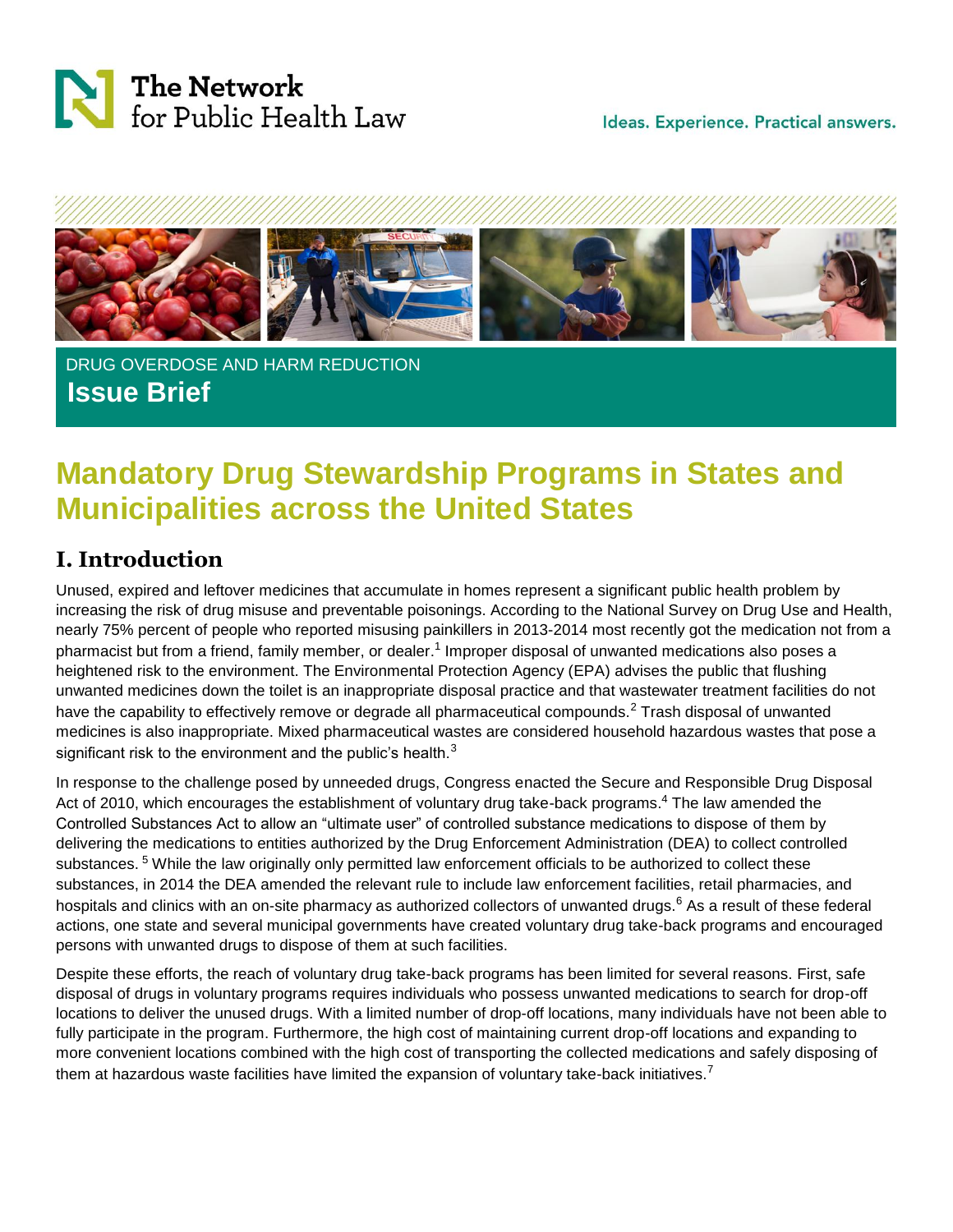



#### DRUG OVERDOSE AND HARM REDUCTION **Issue Brief**

# **Mandatory Drug Stewardship Programs in States and Municipalities across the United States**

#### **I. Introduction**

Unused, expired and leftover medicines that accumulate in homes represent a significant public health problem by increasing the risk of drug misuse and preventable poisonings. According to the National Survey on Drug Use and Health, nearly 75% percent of people who reported misusing painkillers in 2013-2014 most recently got the medication not from a pharmacist but from a friend, family member, or dealer.<sup>1</sup> Improper disposal of unwanted medications also poses a heightened risk to the environment. The Environmental Protection Agency (EPA) advises the public that flushing unwanted medicines down the toilet is an inappropriate disposal practice and that wastewater treatment facilities do not have the capability to effectively remove or degrade all pharmaceutical compounds.<sup>2</sup> Trash disposal of unwanted medicines is also inappropriate. Mixed pharmaceutical wastes are considered household hazardous wastes that pose a significant risk to the environment and the public's health. $3$ 

In response to the challenge posed by unneeded drugs, Congress enacted the Secure and Responsible Drug Disposal Act of 2010, which encourages the establishment of voluntary drug take-back programs.<sup>4</sup> The law amended the Controlled Substances Act to allow an "ultimate user" of controlled substance medications to dispose of them by delivering the medications to entities authorized by the Drug Enforcement Administration (DEA) to collect controlled substances.<sup>5</sup> While the law originally only permitted law enforcement officials to be authorized to collect these substances, in 2014 the DEA amended the relevant rule to include law enforcement facilities, retail pharmacies, and hospitals and clinics with an on-site pharmacy as authorized collectors of unwanted drugs.<sup>6</sup> As a result of these federal actions, one state and several municipal governments have created voluntary drug take-back programs and encouraged persons with unwanted drugs to dispose of them at such facilities.

Despite these efforts, the reach of voluntary drug take-back programs has been limited for several reasons. First, safe disposal of drugs in voluntary programs requires individuals who possess unwanted medications to search for drop-off locations to deliver the unused drugs. With a limited number of drop-off locations, many individuals have not been able to fully participate in the program. Furthermore, the high cost of maintaining current drop-off locations and expanding to more convenient locations combined with the high cost of transporting the collected medications and safely disposing of them at hazardous waste facilities have limited the expansion of voluntary take-back initiatives.<sup>7</sup>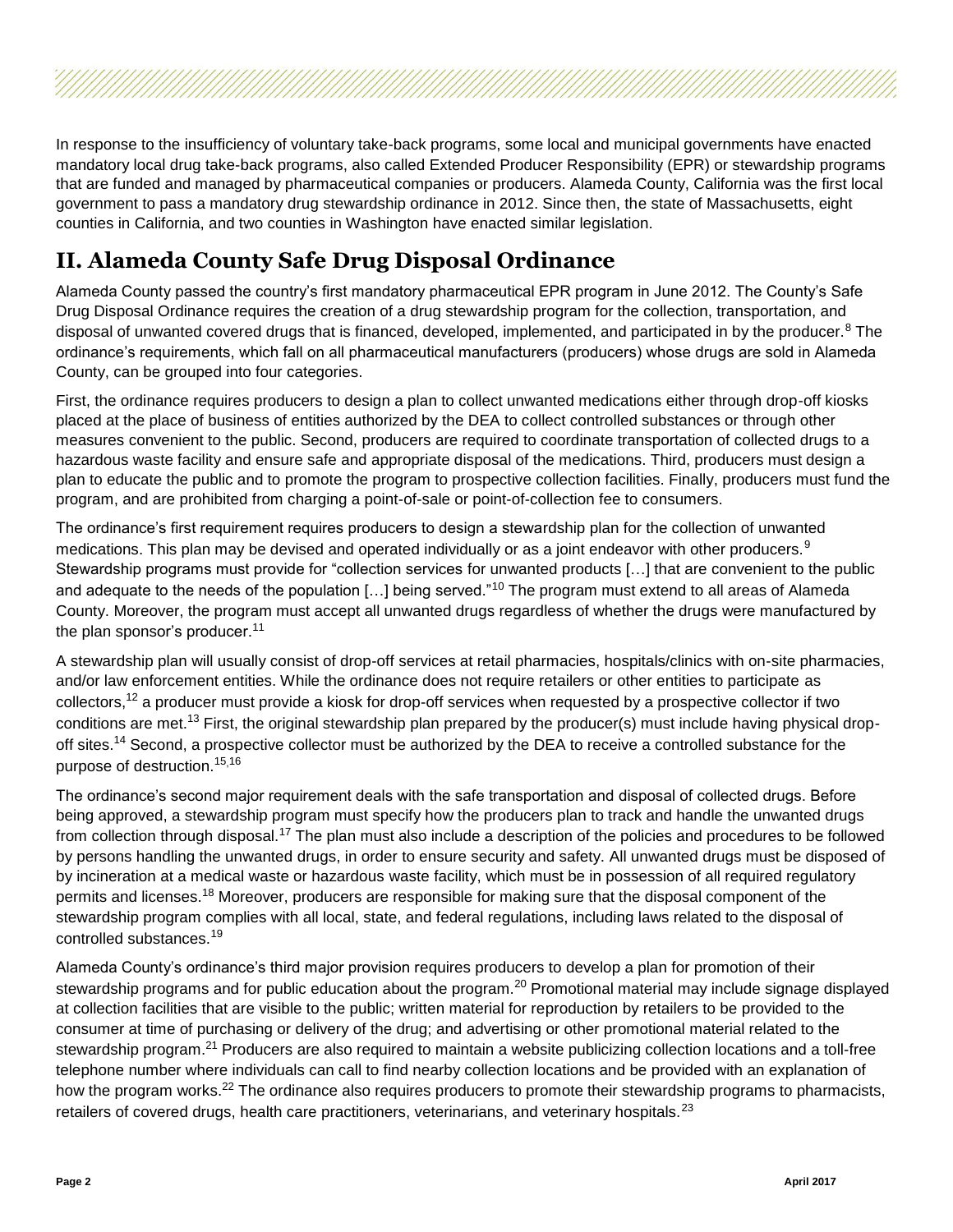In response to the insufficiency of voluntary take-back programs, some local and municipal governments have enacted mandatory local drug take-back programs, also called Extended Producer Responsibility (EPR) or stewardship programs that are funded and managed by pharmaceutical companies or producers. Alameda County, California was the first local government to pass a mandatory drug stewardship ordinance in 2012. Since then, the state of Massachusetts, eight counties in California, and two counties in Washington have enacted similar legislation.

### **II. Alameda County Safe Drug Disposal Ordinance**

Alameda County passed the country's first mandatory pharmaceutical EPR program in June 2012. The County's Safe Drug Disposal Ordinance requires the creation of a drug stewardship program for the collection, transportation, and disposal of unwanted covered drugs that is financed, developed, implemented, and participated in by the producer.<sup>8</sup> The ordinance's requirements, which fall on all pharmaceutical manufacturers (producers) whose drugs are sold in Alameda County, can be grouped into four categories.

First, the ordinance requires producers to design a plan to collect unwanted medications either through drop-off kiosks placed at the place of business of entities authorized by the DEA to collect controlled substances or through other measures convenient to the public. Second, producers are required to coordinate transportation of collected drugs to a hazardous waste facility and ensure safe and appropriate disposal of the medications. Third, producers must design a plan to educate the public and to promote the program to prospective collection facilities. Finally, producers must fund the program, and are prohibited from charging a point-of-sale or point-of-collection fee to consumers.

The ordinance's first requirement requires producers to design a stewardship plan for the collection of unwanted medications. This plan may be devised and operated individually or as a joint endeavor with other producers.<sup>9</sup> Stewardship programs must provide for "collection services for unwanted products […] that are convenient to the public and adequate to the needs of the population [...] being served."<sup>10</sup> The program must extend to all areas of Alameda County. Moreover, the program must accept all unwanted drugs regardless of whether the drugs were manufactured by the plan sponsor's producer.<sup>11</sup>

A stewardship plan will usually consist of drop-off services at retail pharmacies, hospitals/clinics with on-site pharmacies, and/or law enforcement entities. While the ordinance does not require retailers or other entities to participate as collectors,<sup>12</sup> a producer must provide a kiosk for drop-off services when requested by a prospective collector if two conditions are met.<sup>13</sup> First, the original stewardship plan prepared by the producer(s) must include having physical dropoff sites.<sup>14</sup> Second, a prospective collector must be authorized by the DEA to receive a controlled substance for the purpose of destruction.<sup>15</sup>,<sup>16</sup>

The ordinance's second major requirement deals with the safe transportation and disposal of collected drugs. Before being approved, a stewardship program must specify how the producers plan to track and handle the unwanted drugs from collection through disposal.<sup>17</sup> The plan must also include a description of the policies and procedures to be followed by persons handling the unwanted drugs, in order to ensure security and safety. All unwanted drugs must be disposed of by incineration at a medical waste or hazardous waste facility, which must be in possession of all required regulatory permits and licenses.<sup>18</sup> Moreover, producers are responsible for making sure that the disposal component of the stewardship program complies with all local, state, and federal regulations, including laws related to the disposal of controlled substances.<sup>19</sup>

Alameda County's ordinance's third major provision requires producers to develop a plan for promotion of their stewardship programs and for public education about the program.<sup>20</sup> Promotional material may include signage displayed at collection facilities that are visible to the public; written material for reproduction by retailers to be provided to the consumer at time of purchasing or delivery of the drug; and advertising or other promotional material related to the stewardship program.<sup>21</sup> Producers are also required to maintain a website publicizing collection locations and a toll-free telephone number where individuals can call to find nearby collection locations and be provided with an explanation of how the program works.<sup>22</sup> The ordinance also requires producers to promote their stewardship programs to pharmacists, retailers of covered drugs, health care practitioners, veterinarians, and veterinary hospitals. $^{23}$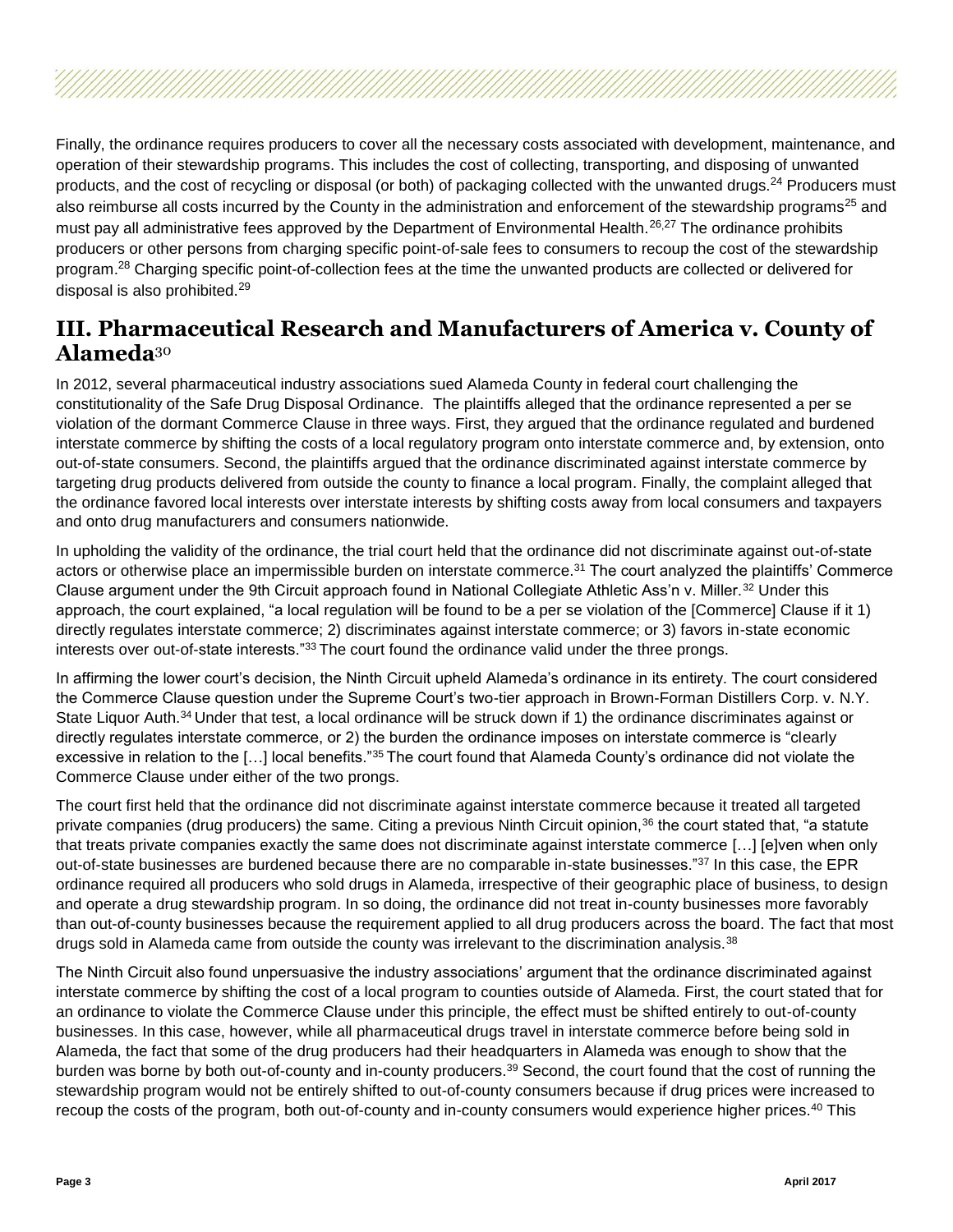Finally, the ordinance requires producers to cover all the necessary costs associated with development, maintenance, and operation of their stewardship programs. This includes the cost of collecting, transporting, and disposing of unwanted products, and the cost of recycling or disposal (or both) of packaging collected with the unwanted drugs.<sup>24</sup> Producers must also reimburse all costs incurred by the County in the administration and enforcement of the stewardship programs<sup>25</sup> and must pay all administrative fees approved by the Department of Environmental Health.<sup>26,27</sup> The ordinance prohibits producers or other persons from charging specific point-of-sale fees to consumers to recoup the cost of the stewardship program.<sup>28</sup> Charging specific point-of-collection fees at the time the unwanted products are collected or delivered for disposal is also prohibited.<sup>29</sup>

#### **III. Pharmaceutical Research and Manufacturers of America v. County of Alameda**<sup>30</sup>

In 2012, several pharmaceutical industry associations sued Alameda County in federal court challenging the constitutionality of the Safe Drug Disposal Ordinance. The plaintiffs alleged that the ordinance represented a per se violation of the dormant Commerce Clause in three ways. First, they argued that the ordinance regulated and burdened interstate commerce by shifting the costs of a local regulatory program onto interstate commerce and, by extension, onto out-of-state consumers. Second, the plaintiffs argued that the ordinance discriminated against interstate commerce by targeting drug products delivered from outside the county to finance a local program. Finally, the complaint alleged that the ordinance favored local interests over interstate interests by shifting costs away from local consumers and taxpayers and onto drug manufacturers and consumers nationwide.

In upholding the validity of the ordinance, the trial court held that the ordinance did not discriminate against out-of-state actors or otherwise place an impermissible burden on interstate commerce.<sup>31</sup> The court analyzed the plaintiffs' Commerce Clause argument under the 9th Circuit approach found in National Collegiate Athletic Ass'n v. Miller.<sup>32</sup> Under this approach, the court explained, "a local regulation will be found to be a per se violation of the [Commerce] Clause if it 1) directly regulates interstate commerce; 2) discriminates against interstate commerce; or 3) favors in-state economic interests over out-of-state interests."<sup>33</sup> The court found the ordinance valid under the three prongs.

In affirming the lower court's decision, the Ninth Circuit upheld Alameda's ordinance in its entirety. The court considered the Commerce Clause question under the Supreme Court's two-tier approach in Brown-Forman Distillers Corp. v. N.Y. State Liquor Auth.<sup>34</sup> Under that test, a local ordinance will be struck down if 1) the ordinance discriminates against or directly regulates interstate commerce, or 2) the burden the ordinance imposes on interstate commerce is "clearly excessive in relation to the […] local benefits."<sup>35</sup> The court found that Alameda County's ordinance did not violate the Commerce Clause under either of the two prongs.

The court first held that the ordinance did not discriminate against interstate commerce because it treated all targeted private companies (drug producers) the same. Citing a previous Ninth Circuit opinion,<sup>36</sup> the court stated that, "a statute that treats private companies exactly the same does not discriminate against interstate commerce […] [e]ven when only out-of-state businesses are burdened because there are no comparable in-state businesses."37 In this case, the EPR ordinance required all producers who sold drugs in Alameda, irrespective of their geographic place of business, to design and operate a drug stewardship program. In so doing, the ordinance did not treat in-county businesses more favorably than out-of-county businesses because the requirement applied to all drug producers across the board. The fact that most drugs sold in Alameda came from outside the county was irrelevant to the discrimination analysis.<sup>38</sup>

The Ninth Circuit also found unpersuasive the industry associations' argument that the ordinance discriminated against interstate commerce by shifting the cost of a local program to counties outside of Alameda. First, the court stated that for an ordinance to violate the Commerce Clause under this principle, the effect must be shifted entirely to out-of-county businesses. In this case, however, while all pharmaceutical drugs travel in interstate commerce before being sold in Alameda, the fact that some of the drug producers had their headquarters in Alameda was enough to show that the burden was borne by both out-of-county and in-county producers.<sup>39</sup> Second, the court found that the cost of running the stewardship program would not be entirely shifted to out-of-county consumers because if drug prices were increased to recoup the costs of the program, both out-of-county and in-county consumers would experience higher prices.<sup>40</sup> This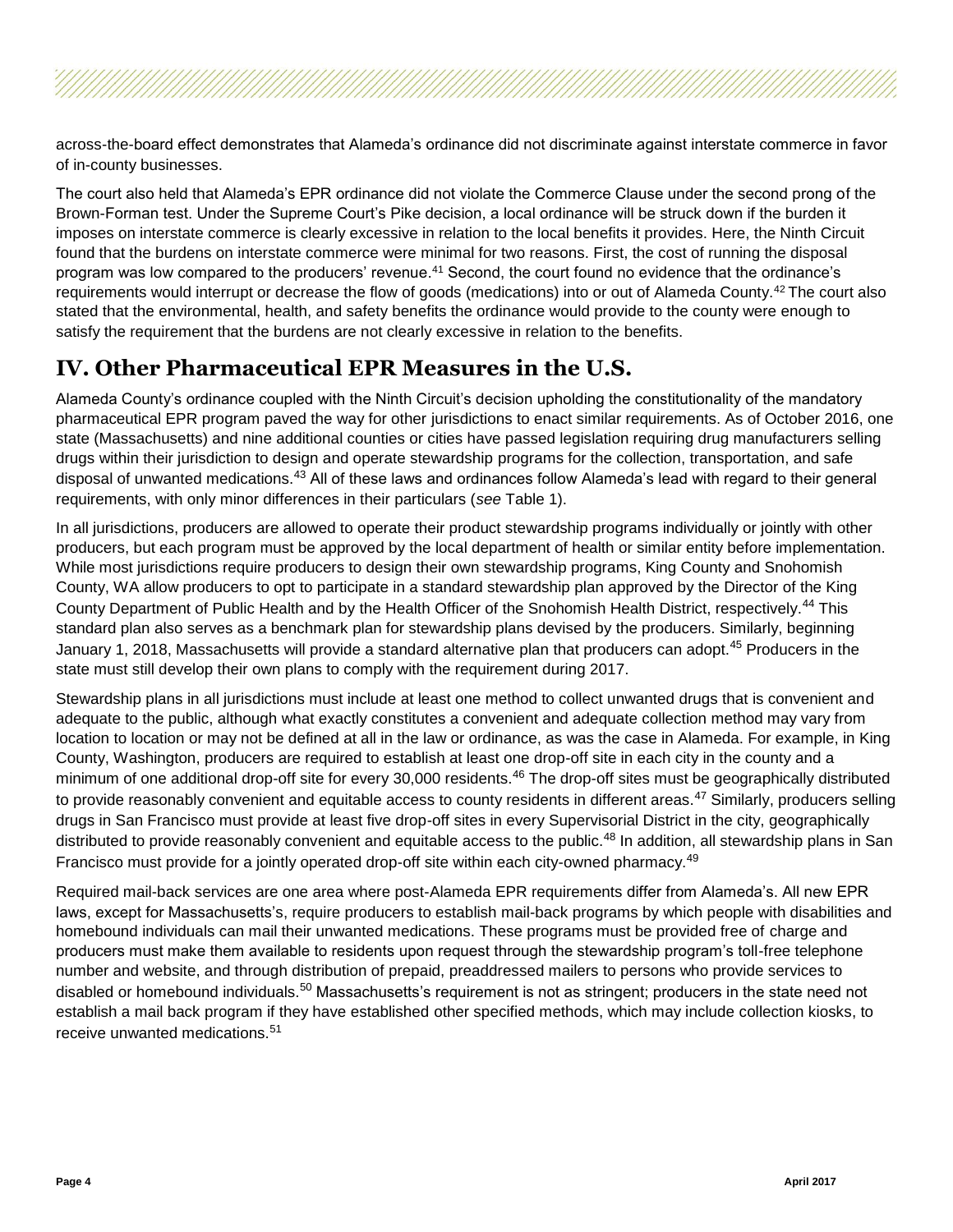across-the-board effect demonstrates that Alameda's ordinance did not discriminate against interstate commerce in favor of in-county businesses.

The court also held that Alameda's EPR ordinance did not violate the Commerce Clause under the second prong of the Brown-Forman test. Under the Supreme Court's Pike decision, a local ordinance will be struck down if the burden it imposes on interstate commerce is clearly excessive in relation to the local benefits it provides. Here, the Ninth Circuit found that the burdens on interstate commerce were minimal for two reasons. First, the cost of running the disposal program was low compared to the producers' revenue.<sup>41</sup> Second, the court found no evidence that the ordinance's requirements would interrupt or decrease the flow of goods (medications) into or out of Alameda County.<sup>42</sup> The court also stated that the environmental, health, and safety benefits the ordinance would provide to the county were enough to satisfy the requirement that the burdens are not clearly excessive in relation to the benefits.

#### **IV. Other Pharmaceutical EPR Measures in the U.S.**

Alameda County's ordinance coupled with the Ninth Circuit's decision upholding the constitutionality of the mandatory pharmaceutical EPR program paved the way for other jurisdictions to enact similar requirements. As of October 2016, one state (Massachusetts) and nine additional counties or cities have passed legislation requiring drug manufacturers selling drugs within their jurisdiction to design and operate stewardship programs for the collection, transportation, and safe disposal of unwanted medications.<sup>43</sup> All of these laws and ordinances follow Alameda's lead with regard to their general requirements, with only minor differences in their particulars (*see* Table 1).

In all jurisdictions, producers are allowed to operate their product stewardship programs individually or jointly with other producers, but each program must be approved by the local department of health or similar entity before implementation. While most jurisdictions require producers to design their own stewardship programs, King County and Snohomish County, WA allow producers to opt to participate in a standard stewardship plan approved by the Director of the King County Department of Public Health and by the Health Officer of the Snohomish Health District, respectively.<sup>44</sup> This standard plan also serves as a benchmark plan for stewardship plans devised by the producers. Similarly, beginning January 1, 2018, Massachusetts will provide a standard alternative plan that producers can adopt.<sup>45</sup> Producers in the state must still develop their own plans to comply with the requirement during 2017.

Stewardship plans in all jurisdictions must include at least one method to collect unwanted drugs that is convenient and adequate to the public, although what exactly constitutes a convenient and adequate collection method may vary from location to location or may not be defined at all in the law or ordinance, as was the case in Alameda. For example, in King County, Washington, producers are required to establish at least one drop-off site in each city in the county and a minimum of one additional drop-off site for every 30,000 residents.<sup>46</sup> The drop-off sites must be geographically distributed to provide reasonably convenient and equitable access to county residents in different areas.<sup>47</sup> Similarly, producers selling drugs in San Francisco must provide at least five drop-off sites in every Supervisorial District in the city, geographically distributed to provide reasonably convenient and equitable access to the public.<sup>48</sup> In addition, all stewardship plans in San Francisco must provide for a jointly operated drop-off site within each city-owned pharmacy.<sup>49</sup>

Required mail-back services are one area where post-Alameda EPR requirements differ from Alameda's. All new EPR laws, except for Massachusetts's, require producers to establish mail-back programs by which people with disabilities and homebound individuals can mail their unwanted medications. These programs must be provided free of charge and producers must make them available to residents upon request through the stewardship program's toll-free telephone number and website, and through distribution of prepaid, preaddressed mailers to persons who provide services to disabled or homebound individuals.<sup>50</sup> Massachusetts's requirement is not as stringent; producers in the state need not establish a mail back program if they have established other specified methods, which may include collection kiosks, to receive unwanted medications.<sup>51</sup>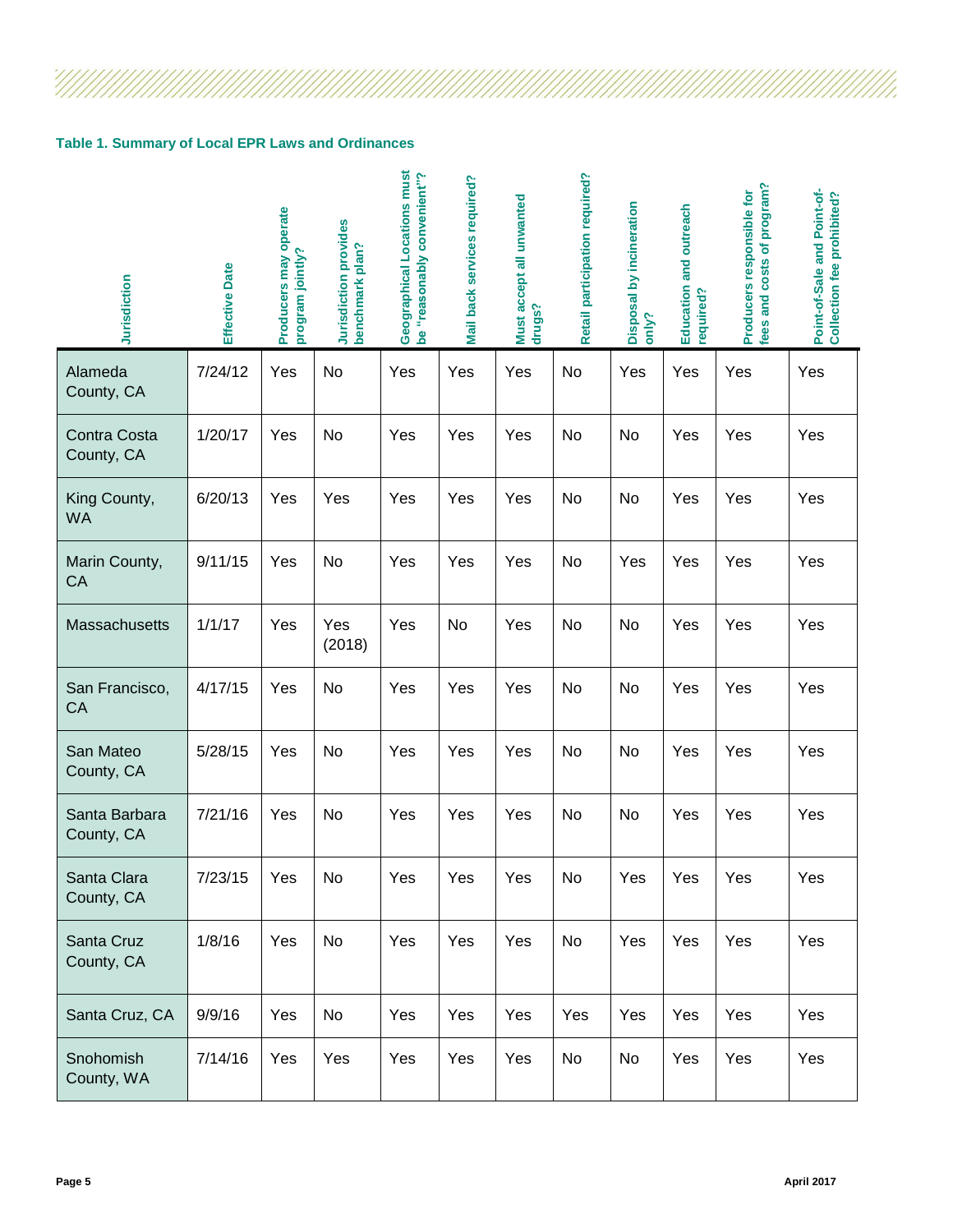#### **Table 1. Summary of Local EPR Laws and Ordinances**

 $\frac{7}{2}$ 

| Jurisdiction                | Effective Date | Producers may operate<br>program jointly? | Jurisdiction provides<br>benchmark plan? | Geographical Locations must<br>be "reasonably convenient"? | Mail back services required? | Must accept all unwanted<br>drugs? | Retail participation required? | Disposal by incineration<br>only? | Education and outreach<br>required? | program?<br>Producers responsible for<br>fees and costs of | Point-of-Sale and Point-of-<br><b>Collection fee prohibited?</b> |
|-----------------------------|----------------|-------------------------------------------|------------------------------------------|------------------------------------------------------------|------------------------------|------------------------------------|--------------------------------|-----------------------------------|-------------------------------------|------------------------------------------------------------|------------------------------------------------------------------|
| Alameda<br>County, CA       | 7/24/12        | Yes                                       | No                                       | Yes                                                        | Yes                          | Yes                                | No                             | Yes                               | Yes                                 | Yes                                                        | Yes                                                              |
| Contra Costa<br>County, CA  | 1/20/17        | Yes                                       | No                                       | Yes                                                        | Yes                          | Yes                                | No                             | No                                | Yes                                 | Yes                                                        | Yes                                                              |
| King County,<br><b>WA</b>   | 6/20/13        | Yes                                       | Yes                                      | Yes                                                        | Yes                          | Yes                                | No                             | No                                | Yes                                 | Yes                                                        | Yes                                                              |
| Marin County,<br>CA         | 9/11/15        | Yes                                       | <b>No</b>                                | Yes                                                        | Yes                          | Yes                                | No                             | Yes                               | Yes                                 | Yes                                                        | Yes                                                              |
| Massachusetts               | 1/1/17         | Yes                                       | Yes<br>(2018)                            | Yes                                                        | No                           | Yes                                | No                             | No                                | Yes                                 | Yes                                                        | Yes                                                              |
| San Francisco,<br>CA        | 4/17/15        | Yes                                       | No                                       | Yes                                                        | Yes                          | Yes                                | No                             | No                                | Yes                                 | Yes                                                        | Yes                                                              |
| San Mateo<br>County, CA     | 5/28/15        | Yes                                       | No                                       | Yes                                                        | Yes                          | Yes                                | No                             | No                                | Yes                                 | Yes                                                        | Yes                                                              |
| Santa Barbara<br>County, CA | 7/21/16        | Yes                                       | No                                       | Yes                                                        | Yes                          | Yes                                | No                             | No                                | Yes                                 | Yes                                                        | Yes                                                              |
| Santa Clara<br>County, CA   | 7/23/15        | Yes                                       | No                                       | Yes                                                        | Yes                          | Yes                                | No                             | Yes                               | Yes                                 | Yes                                                        | Yes                                                              |
| Santa Cruz<br>County, CA    | 1/8/16         | Yes                                       | No                                       | Yes                                                        | Yes                          | Yes                                | No                             | Yes                               | Yes                                 | Yes                                                        | Yes                                                              |
| Santa Cruz, CA              | 9/9/16         | Yes                                       | No                                       | Yes                                                        | Yes                          | Yes                                | Yes                            | Yes                               | Yes                                 | Yes                                                        | Yes                                                              |
| Snohomish<br>County, WA     | 7/14/16        | Yes                                       | Yes                                      | Yes                                                        | Yes                          | Yes                                | No                             | No                                | Yes                                 | Yes                                                        | Yes                                                              |

U).

ANNANNANNANNANNAN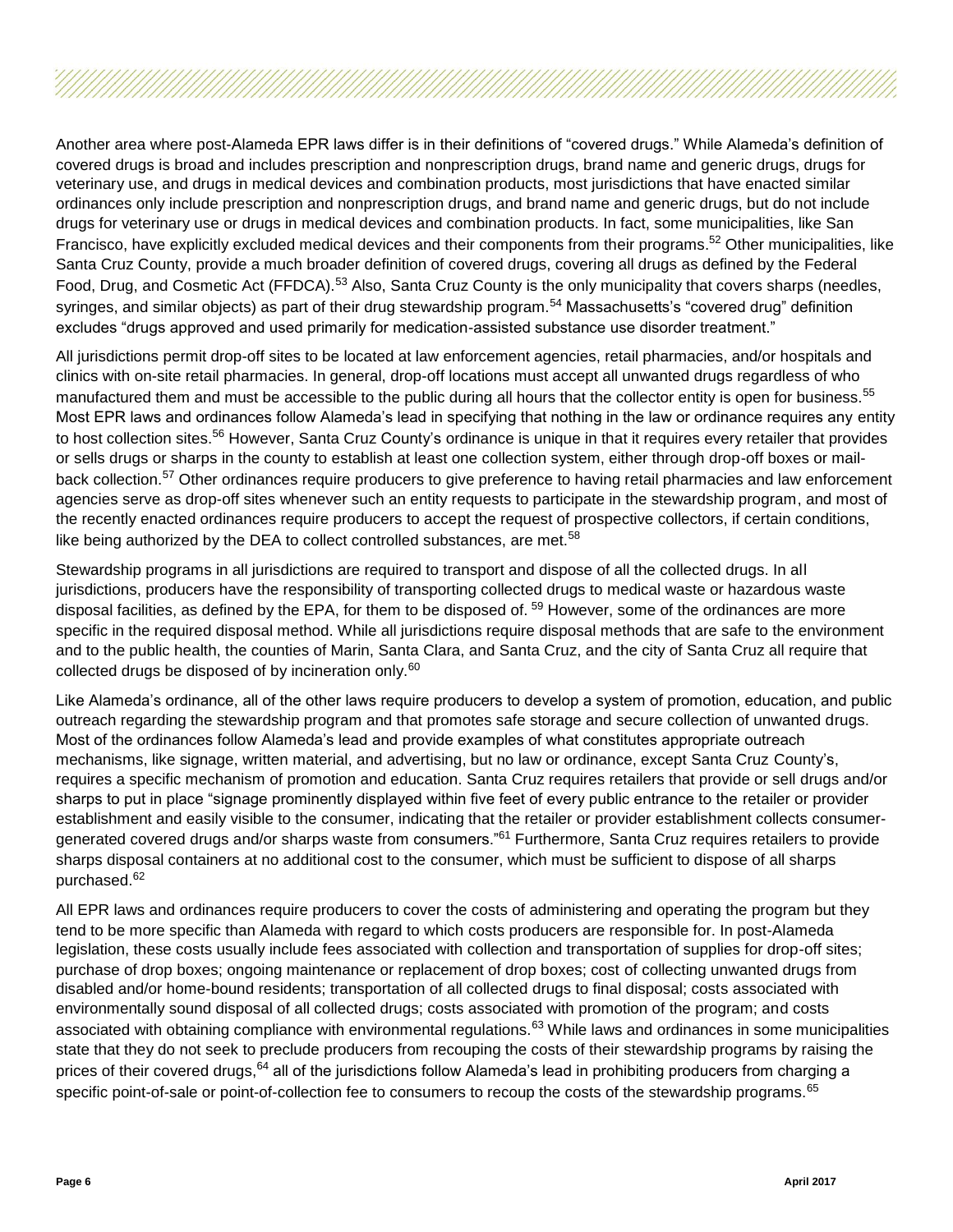Another area where post-Alameda EPR laws differ is in their definitions of "covered drugs." While Alameda's definition of covered drugs is broad and includes prescription and nonprescription drugs, brand name and generic drugs, drugs for veterinary use, and drugs in medical devices and combination products, most jurisdictions that have enacted similar ordinances only include prescription and nonprescription drugs, and brand name and generic drugs, but do not include drugs for veterinary use or drugs in medical devices and combination products. In fact, some municipalities, like San Francisco, have explicitly excluded medical devices and their components from their programs.<sup>52</sup> Other municipalities, like Santa Cruz County, provide a much broader definition of covered drugs, covering all drugs as defined by the Federal Food, Drug, and Cosmetic Act (FFDCA).<sup>53</sup> Also, Santa Cruz County is the only municipality that covers sharps (needles, syringes, and similar objects) as part of their drug stewardship program.<sup>54</sup> Massachusetts's "covered drug" definition excludes "drugs approved and used primarily for medication-assisted substance use disorder treatment."

All jurisdictions permit drop-off sites to be located at law enforcement agencies, retail pharmacies, and/or hospitals and clinics with on-site retail pharmacies. In general, drop-off locations must accept all unwanted drugs regardless of who manufactured them and must be accessible to the public during all hours that the collector entity is open for business.<sup>55</sup> Most EPR laws and ordinances follow Alameda's lead in specifying that nothing in the law or ordinance requires any entity to host collection sites.<sup>56</sup> However, Santa Cruz County's ordinance is unique in that it requires every retailer that provides or sells drugs or sharps in the county to establish at least one collection system, either through drop-off boxes or mailback collection.<sup>57</sup> Other ordinances require producers to give preference to having retail pharmacies and law enforcement agencies serve as drop-off sites whenever such an entity requests to participate in the stewardship program, and most of the recently enacted ordinances require producers to accept the request of prospective collectors, if certain conditions, like being authorized by the DEA to collect controlled substances, are met.<sup>58</sup>

Stewardship programs in all jurisdictions are required to transport and dispose of all the collected drugs. In all jurisdictions, producers have the responsibility of transporting collected drugs to medical waste or hazardous waste disposal facilities, as defined by the EPA, for them to be disposed of. <sup>59</sup> However, some of the ordinances are more specific in the required disposal method. While all jurisdictions require disposal methods that are safe to the environment and to the public health, the counties of Marin, Santa Clara, and Santa Cruz, and the city of Santa Cruz all require that collected drugs be disposed of by incineration only. $^{60}$ 

Like Alameda's ordinance, all of the other laws require producers to develop a system of promotion, education, and public outreach regarding the stewardship program and that promotes safe storage and secure collection of unwanted drugs. Most of the ordinances follow Alameda's lead and provide examples of what constitutes appropriate outreach mechanisms, like signage, written material, and advertising, but no law or ordinance, except Santa Cruz County's, requires a specific mechanism of promotion and education. Santa Cruz requires retailers that provide or sell drugs and/or sharps to put in place "signage prominently displayed within five feet of every public entrance to the retailer or provider establishment and easily visible to the consumer, indicating that the retailer or provider establishment collects consumergenerated covered drugs and/or sharps waste from consumers."<sup>61</sup> Furthermore, Santa Cruz requires retailers to provide sharps disposal containers at no additional cost to the consumer, which must be sufficient to dispose of all sharps purchased. 62

All EPR laws and ordinances require producers to cover the costs of administering and operating the program but they tend to be more specific than Alameda with regard to which costs producers are responsible for. In post-Alameda legislation, these costs usually include fees associated with collection and transportation of supplies for drop-off sites; purchase of drop boxes; ongoing maintenance or replacement of drop boxes; cost of collecting unwanted drugs from disabled and/or home-bound residents; transportation of all collected drugs to final disposal; costs associated with environmentally sound disposal of all collected drugs; costs associated with promotion of the program; and costs associated with obtaining compliance with environmental regulations.<sup>63</sup> While laws and ordinances in some municipalities state that they do not seek to preclude producers from recouping the costs of their stewardship programs by raising the prices of their covered drugs,<sup>64</sup> all of the jurisdictions follow Alameda's lead in prohibiting producers from charging a specific point-of-sale or point-of-collection fee to consumers to recoup the costs of the stewardship programs.<sup>65</sup>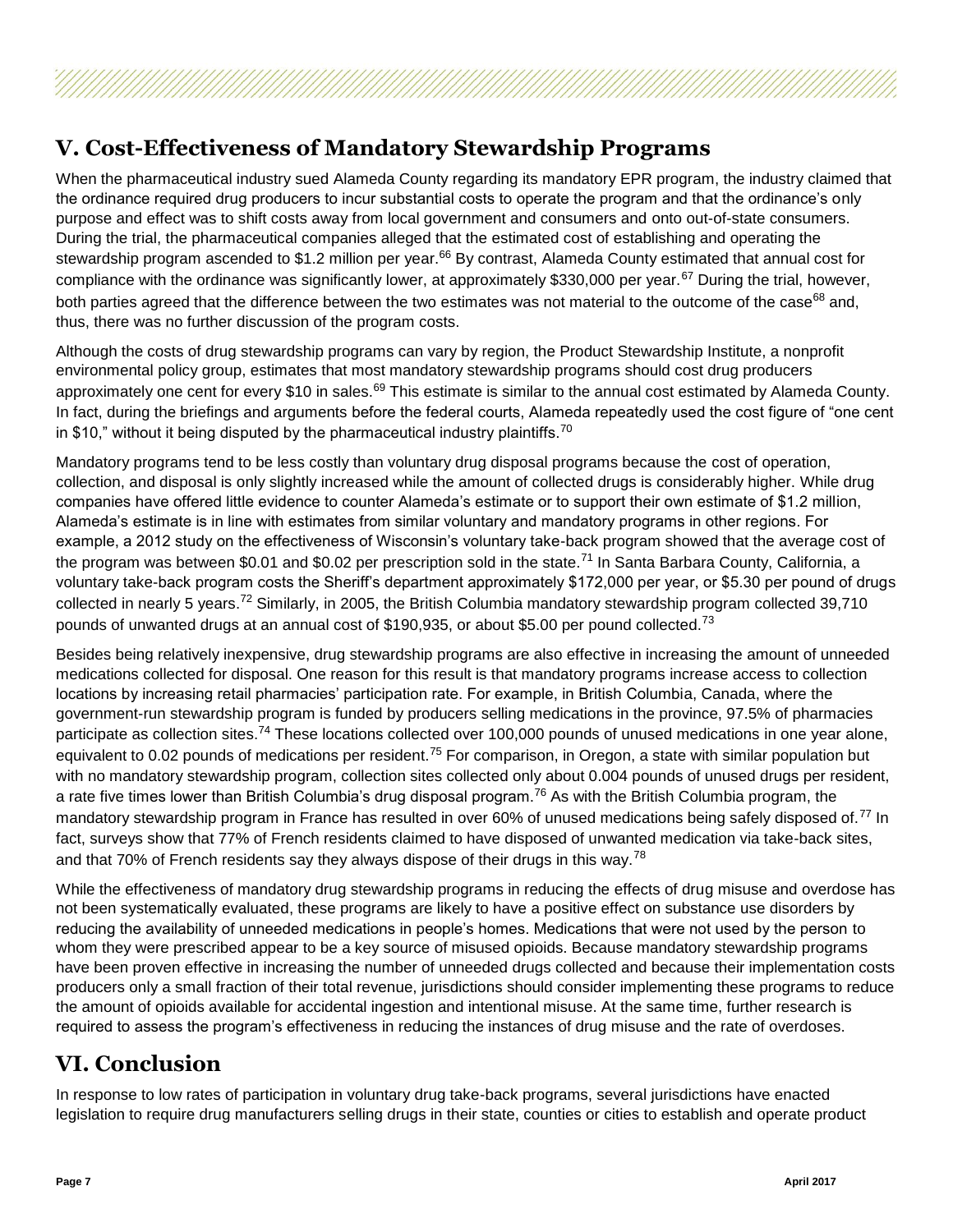## **V. Cost-Effectiveness of Mandatory Stewardship Programs**

When the pharmaceutical industry sued Alameda County regarding its mandatory EPR program, the industry claimed that the ordinance required drug producers to incur substantial costs to operate the program and that the ordinance's only purpose and effect was to shift costs away from local government and consumers and onto out-of-state consumers. During the trial, the pharmaceutical companies alleged that the estimated cost of establishing and operating the stewardship program ascended to \$1.2 million per year.<sup>66</sup> By contrast, Alameda County estimated that annual cost for compliance with the ordinance was significantly lower, at approximately \$330,000 per year.<sup>67</sup> During the trial, however, both parties agreed that the difference between the two estimates was not material to the outcome of the case<sup>68</sup> and. thus, there was no further discussion of the program costs.

Although the costs of drug stewardship programs can vary by region, the Product Stewardship Institute, a nonprofit environmental policy group, estimates that most mandatory stewardship programs should cost drug producers approximately one cent for every \$10 in sales.<sup>69</sup> This estimate is similar to the annual cost estimated by Alameda County. In fact, during the briefings and arguments before the federal courts, Alameda repeatedly used the cost figure of "one cent in \$10," without it being disputed by the pharmaceutical industry plaintiffs.<sup>70</sup>

Mandatory programs tend to be less costly than voluntary drug disposal programs because the cost of operation, collection, and disposal is only slightly increased while the amount of collected drugs is considerably higher. While drug companies have offered little evidence to counter Alameda's estimate or to support their own estimate of \$1.2 million, Alameda's estimate is in line with estimates from similar voluntary and mandatory programs in other regions. For example, a 2012 study on the effectiveness of Wisconsin's voluntary take-back program showed that the average cost of the program was between \$0.01 and \$0.02 per prescription sold in the state.<sup>71</sup> In Santa Barbara County, California, a voluntary take-back program costs the Sheriff's department approximately \$172,000 per year, or \$5.30 per pound of drugs collected in nearly 5 years.<sup>72</sup> Similarly, in 2005, the British Columbia mandatory stewardship program collected 39,710 pounds of unwanted drugs at an annual cost of \$190,935, or about \$5.00 per pound collected.<sup>73</sup>

Besides being relatively inexpensive, drug stewardship programs are also effective in increasing the amount of unneeded medications collected for disposal. One reason for this result is that mandatory programs increase access to collection locations by increasing retail pharmacies' participation rate. For example, in British Columbia, Canada, where the government-run stewardship program is funded by producers selling medications in the province, 97.5% of pharmacies participate as collection sites.<sup>74</sup> These locations collected over 100,000 pounds of unused medications in one year alone, equivalent to 0.02 pounds of medications per resident.<sup>75</sup> For comparison, in Oregon, a state with similar population but with no mandatory stewardship program, collection sites collected only about 0.004 pounds of unused drugs per resident, a rate five times lower than British Columbia's drug disposal program.<sup>76</sup> As with the British Columbia program, the mandatory stewardship program in France has resulted in over 60% of unused medications being safely disposed of.<sup>77</sup> In fact, surveys show that 77% of French residents claimed to have disposed of unwanted medication via take-back sites, and that 70% of French residents say they always dispose of their drugs in this way.<sup>78</sup>

While the effectiveness of mandatory drug stewardship programs in reducing the effects of drug misuse and overdose has not been systematically evaluated, these programs are likely to have a positive effect on substance use disorders by reducing the availability of unneeded medications in people's homes. Medications that were not used by the person to whom they were prescribed appear to be a key source of misused opioids. Because mandatory stewardship programs have been proven effective in increasing the number of unneeded drugs collected and because their implementation costs producers only a small fraction of their total revenue, jurisdictions should consider implementing these programs to reduce the amount of opioids available for accidental ingestion and intentional misuse. At the same time, further research is required to assess the program's effectiveness in reducing the instances of drug misuse and the rate of overdoses.

#### **VI. Conclusion**

In response to low rates of participation in voluntary drug take-back programs, several jurisdictions have enacted legislation to require drug manufacturers selling drugs in their state, counties or cities to establish and operate product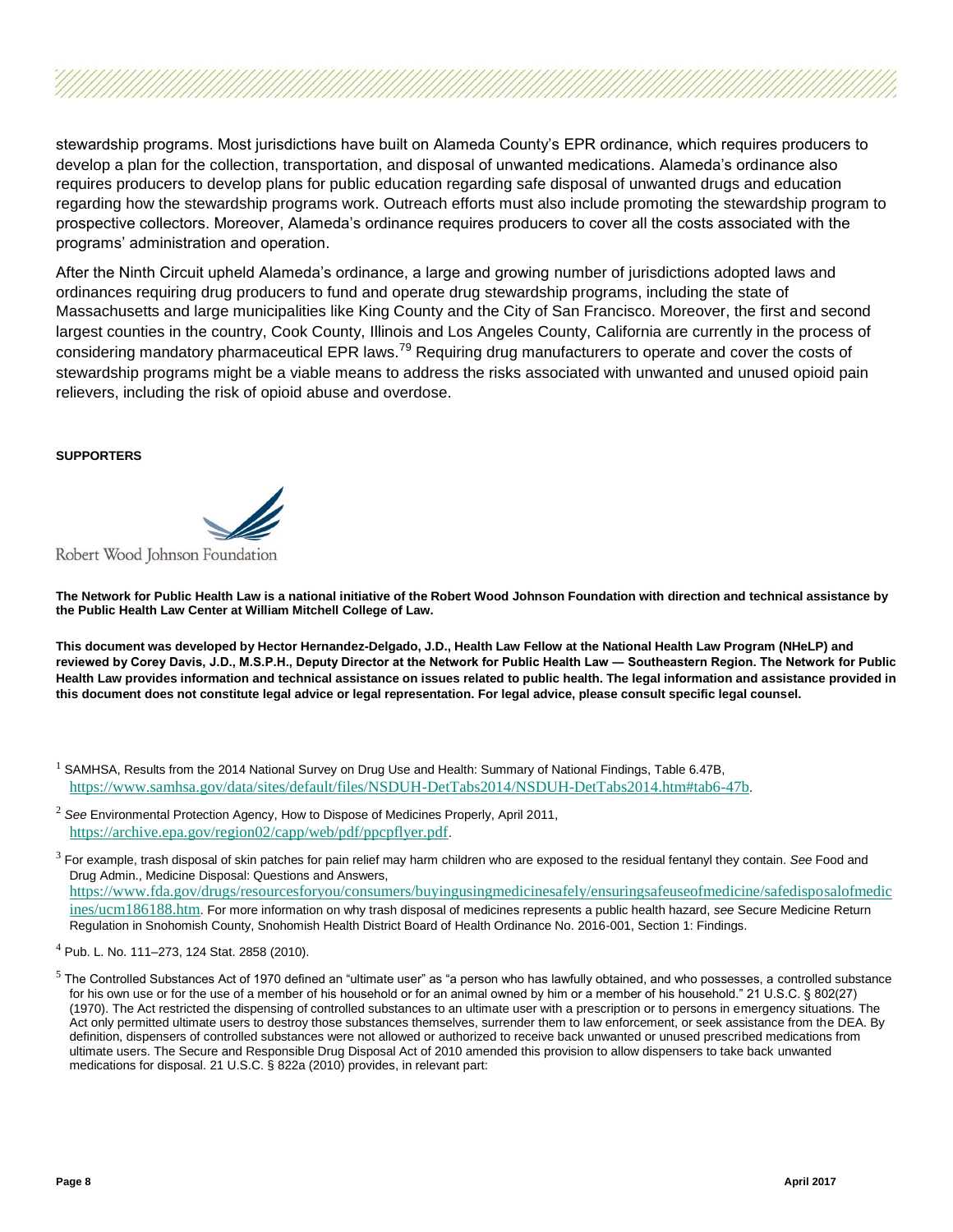stewardship programs. Most jurisdictions have built on Alameda County's EPR ordinance, which requires producers to develop a plan for the collection, transportation, and disposal of unwanted medications. Alameda's ordinance also requires producers to develop plans for public education regarding safe disposal of unwanted drugs and education regarding how the stewardship programs work. Outreach efforts must also include promoting the stewardship program to prospective collectors. Moreover, Alameda's ordinance requires producers to cover all the costs associated with the programs' administration and operation.

After the Ninth Circuit upheld Alameda's ordinance, a large and growing number of jurisdictions adopted laws and ordinances requiring drug producers to fund and operate drug stewardship programs, including the state of Massachusetts and large municipalities like King County and the City of San Francisco. Moreover, the first and second largest counties in the country, Cook County, Illinois and Los Angeles County, California are currently in the process of considering mandatory pharmaceutical EPR laws.<sup>79</sup> Requiring drug manufacturers to operate and cover the costs of stewardship programs might be a viable means to address the risks associated with unwanted and unused opioid pain relievers, including the risk of opioid abuse and overdose.

#### **SUPPORTERS**

Robert Wood Johnson Foundation

**The Network for Public Health Law is a national initiative of the Robert Wood Johnson Foundation with direction and technical assistance by the Public Health Law Center at William Mitchell College of Law.** 

**This document was developed by Hector Hernandez-Delgado, J.D., Health Law Fellow at the National Health Law Program (NHeLP) and reviewed by Corey Davis, J.D., M.S.P.H., Deputy Director at the Network for Public Health Law ― Southeastern Region. The Network for Public Health Law provides information and technical assistance on issues related to public health. The legal information and assistance provided in this document does not constitute legal advice or legal representation. For legal advice, please consult specific legal counsel.**

- $^1$  SAMHSA, Results from the 2014 National Survey on Drug Use and Health: Summary of National Findings, Table 6.47B, <https://www.samhsa.gov/data/sites/default/files/NSDUH-DetTabs2014/NSDUH-DetTabs2014.htm#tab6-47b>.
- <sup>2</sup> *See* Environmental Protection Agency, How to Dispose of Medicines Properly, April 2011, <https://archive.epa.gov/region02/capp/web/pdf/ppcpflyer.pdf>.
- <sup>3</sup> For example, trash disposal of skin patches for pain relief may harm children who are exposed to the residual fentanyl they contain. *See* Food and Drug Admin., Medicine Disposal: Questions and Answers, [https://www.fda.gov/drugs/resourcesforyou/consumers/buyingusingmedicinesafely/ensuringsafeuseofmedicine/safedisposalofmedic](https://www.fda.gov/drugs/resourcesforyou/consumers/buyingusingmedicinesafely/ensuringsafeuseofmedicine/safedisposalofmedicines/ucm186188.htm) [ines/ucm186188.htm](https://www.fda.gov/drugs/resourcesforyou/consumers/buyingusingmedicinesafely/ensuringsafeuseofmedicine/safedisposalofmedicines/ucm186188.htm). For more information on why trash disposal of medicines represents a public health hazard, *see* Secure Medicine Return Regulation in Snohomish County, Snohomish Health District Board of Health Ordinance No. 2016-001, Section 1: Findings.
- <sup>4</sup> Pub. L. No. 111–273, 124 Stat. 2858 (2010).
- $5$  The Controlled Substances Act of 1970 defined an "ultimate user" as "a person who has lawfully obtained, and who possesses, a controlled substance for his own use or for the use of a member of his household or for an animal owned by him or a member of his household." 21 U.S.C. § 802(27) (1970). The Act restricted the dispensing of controlled substances to an ultimate user with a prescription or to persons in emergency situations. The Act only permitted ultimate users to destroy those substances themselves, surrender them to law enforcement, or seek assistance from the DEA. By definition, dispensers of controlled substances were not allowed or authorized to receive back unwanted or unused prescribed medications from ultimate users. The Secure and Responsible Drug Disposal Act of 2010 amended this provision to allow dispensers to take back unwanted medications for disposal. 21 U.S.C. § 822a (2010) provides, in relevant part: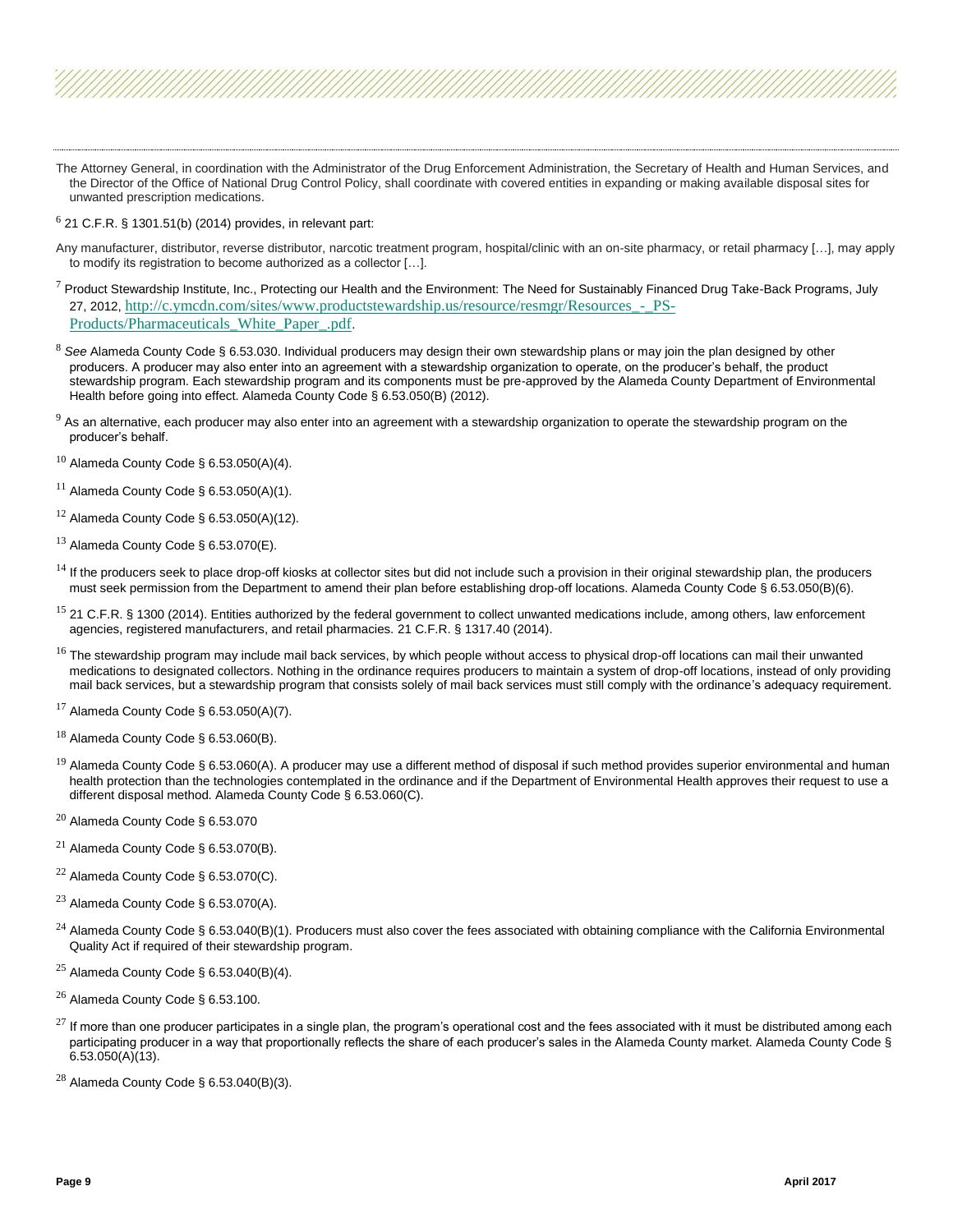- The Attorney General, in coordination with the Administrator of the Drug Enforcement Administration, the Secretary of Health and Human Services, and the Director of the Office of National Drug Control Policy, shall coordinate with covered entities in expanding or making available disposal sites for unwanted prescription medications.
- $6$  21 C.F.R. § 1301.51(b) (2014) provides, in relevant part:
- Any manufacturer, distributor, reverse distributor, narcotic treatment program, hospital/clinic with an on-site pharmacy, or retail pharmacy […], may apply to modify its registration to become authorized as a collector […].
- $^7$  Product Stewardship Institute, Inc., Protecting our Health and the Environment: The Need for Sustainably Financed Drug Take-Back Programs, July 27, 2012, [http://c.ymcdn.com/sites/www.productstewardship.us/resource/resmgr/Resources\\_-\\_PS-](http://c.ymcdn.com/sites/www.productstewardship.us/resource/resmgr/Resources_-_PS-Products/Pharmaceuticals_White_Paper_.pdf)[Products/Pharmaceuticals\\_White\\_Paper\\_.pdf](http://c.ymcdn.com/sites/www.productstewardship.us/resource/resmgr/Resources_-_PS-Products/Pharmaceuticals_White_Paper_.pdf).
- <sup>8</sup> *See* Alameda County Code § 6.53.030. Individual producers may design their own stewardship plans or may join the plan designed by other producers. A producer may also enter into an agreement with a stewardship organization to operate, on the producer's behalf, the product stewardship program. Each stewardship program and its components must be pre-approved by the Alameda County Department of Environmental Health before going into effect. Alameda County Code § 6.53.050(B) (2012).
- $9$  As an alternative, each producer may also enter into an agreement with a stewardship organization to operate the stewardship program on the producer's behalf.
- $10$  Alameda County Code § 6.53.050(A)(4).
- $11$  Alameda County Code § 6.53.050(A)(1).
- $12$  Alameda County Code § 6.53.050(A)(12).
- $13$  Alameda County Code § 6.53.070(E).
- <sup>14</sup> If the producers seek to place drop-off kiosks at collector sites but did not include such a provision in their original stewardship plan, the producers must seek permission from the Department to amend their plan before establishing drop-off locations. Alameda County Code § 6.53.050(B)(6).
- <sup>15</sup> 21 C.F.R. § 1300 (2014). Entities authorized by the federal government to collect unwanted medications include, among others, law enforcement agencies, registered manufacturers, and retail pharmacies. 21 C.F.R. § 1317.40 (2014).
- <sup>16</sup> The stewardship program may include mail back services, by which people without access to physical drop-off locations can mail their unwanted medications to designated collectors. Nothing in the ordinance requires producers to maintain a system of drop-off locations, instead of only providing mail back services, but a stewardship program that consists solely of mail back services must still comply with the ordinance's adequacy requirement.
- $17$  Alameda County Code § 6.53.050(A)(7).
- $18$  Alameda County Code § 6.53.060(B).
- $^{19}$  Alameda County Code § 6.53.060(A). A producer may use a different method of disposal if such method provides superior environmental and human health protection than the technologies contemplated in the ordinance and if the Department of Environmental Health approves their request to use a different disposal method. Alameda County Code § 6.53.060(C).
- <sup>20</sup> Alameda County Code § 6.53.070
- $^{21}$  Alameda County Code § 6.53.070(B).
- $^{22}$  Alameda County Code § 6.53.070(C).
- $23$  Alameda County Code § 6.53.070(A).
- $^{24}$  Alameda County Code § 6.53.040(B)(1). Producers must also cover the fees associated with obtaining compliance with the California Environmental Quality Act if required of their stewardship program.
- $25$  Alameda County Code § 6.53.040(B)(4).
- <sup>26</sup> Alameda County Code § 6.53.100.
- $^{27}$  If more than one producer participates in a single plan, the program's operational cost and the fees associated with it must be distributed among each participating producer in a way that proportionally reflects the share of each producer's sales in the Alameda County market. Alameda County Code § 6.53.050(A)(13).
- $28$  Alameda County Code § 6.53.040(B)(3).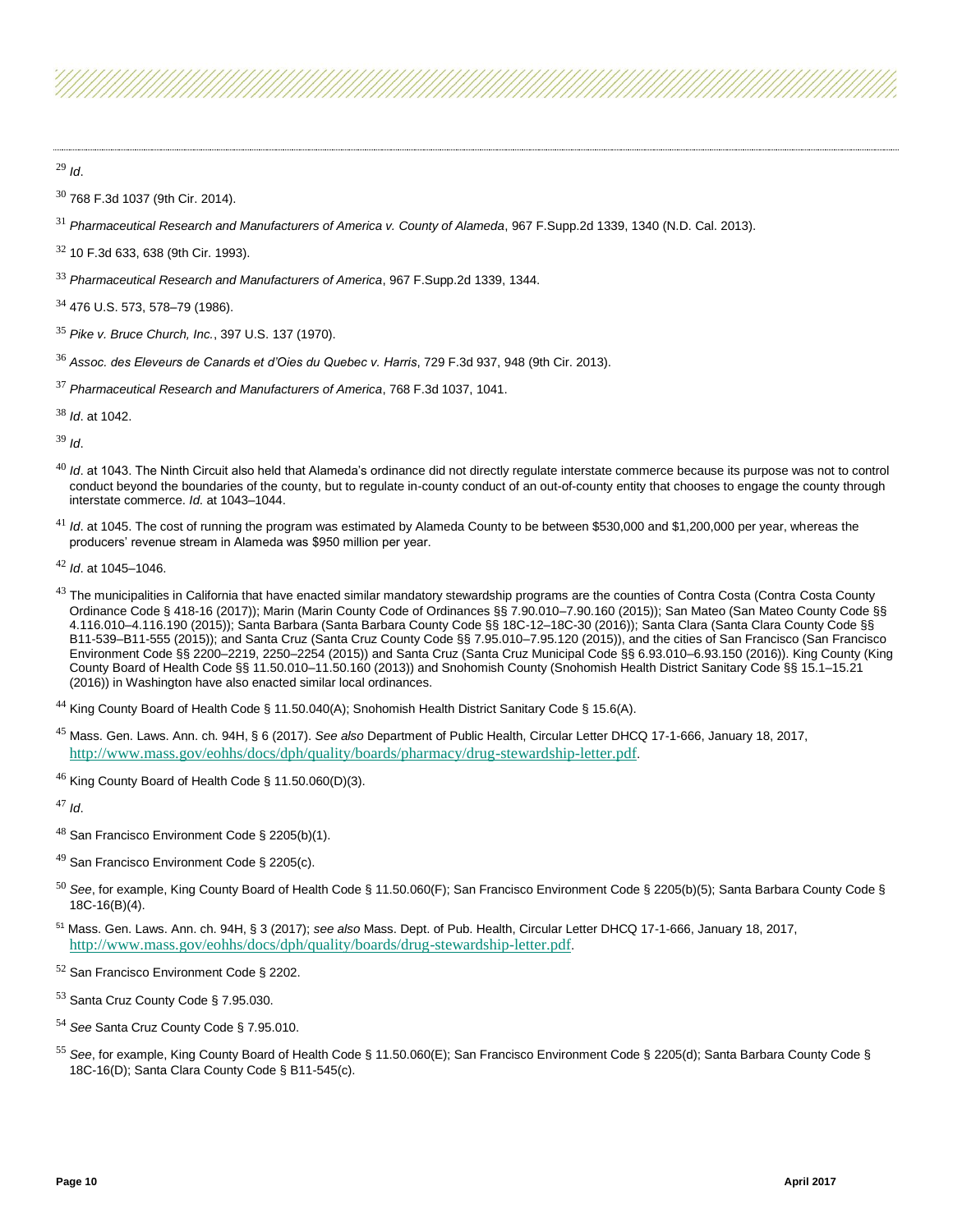<sup>29</sup> *Id*.

- <sup>30</sup> 768 F.3d 1037 (9th Cir. 2014).
- <sup>31</sup> *Pharmaceutical Research and Manufacturers of America v. County of Alameda*, 967 F.Supp.2d 1339, 1340 (N.D. Cal. 2013).
- $32$  10 F.3d 633, 638 (9th Cir. 1993).
- <sup>33</sup> *Pharmaceutical Research and Manufacturers of America*, 967 F.Supp.2d 1339, 1344.
- <sup>34</sup> 476 U.S. 573, 578–79 (1986).
- <sup>35</sup> *Pike v. Bruce Church, Inc.*, 397 U.S. 137 (1970).
- <sup>36</sup> *Assoc. des Eleveurs de Canards et d'Oies du Quebec v. Harris*, 729 F.3d 937, 948 (9th Cir. 2013).
- <sup>37</sup> *Pharmaceutical Research and Manufacturers of America*, 768 F.3d 1037, 1041.

<sup>38</sup> *Id*. at 1042.

<sup>39</sup> *Id*.

- <sup>40</sup> *Id.* at 1043. The Ninth Circuit also held that Alameda's ordinance did not directly regulate interstate commerce because its purpose was not to control conduct beyond the boundaries of the county, but to regulate in-county conduct of an out-of-county entity that chooses to engage the county through interstate commerce. *Id*. at 1043–1044.
- <sup>41</sup> *Id.* at 1045. The cost of running the program was estimated by Alameda County to be between \$530,000 and \$1,200,000 per year, whereas the producers' revenue stream in Alameda was \$950 million per year.
- <sup>42</sup> *Id*. at 1045–1046.
- $^{43}$  The municipalities in California that have enacted similar mandatory stewardship programs are the counties of Contra Costa (Contra Costa County Ordinance Code § 418-16 (2017)); Marin (Marin County Code of Ordinances §§ 7.90.010–7.90.160 (2015)); San Mateo (San Mateo County Code §§ 4.116.010–4.116.190 (2015)); Santa Barbara (Santa Barbara County Code §§ 18C-12–18C-30 (2016)); Santa Clara (Santa Clara County Code §§ B11-539–B11-555 (2015)); and Santa Cruz (Santa Cruz County Code §§ 7.95.010–7.95.120 (2015)), and the cities of San Francisco (San Francisco Environment Code §§ 2200–2219, 2250–2254 (2015)) and Santa Cruz (Santa Cruz Municipal Code §§ 6.93.010–6.93.150 (2016)). King County (King County Board of Health Code §§ 11.50.010–11.50.160 (2013)) and Snohomish County (Snohomish Health District Sanitary Code §§ 15.1–15.21 (2016)) in Washington have also enacted similar local ordinances.
- <sup>44</sup> King County Board of Health Code § 11.50.040(A); Snohomish Health District Sanitary Code § 15.6(A).
- <sup>45</sup> Mass. Gen. Laws. Ann. ch. 94H, § 6 (2017). *See also* Department of Public Health, Circular Letter DHCQ 17-1-666, January 18, 2017, <http://www.mass.gov/eohhs/docs/dph/quality/boards/pharmacy/drug-stewardship-letter.pdf>.
- $46$  King County Board of Health Code § 11.50.060(D)(3).

<sup>47</sup> *Id*.

- <sup>48</sup> San Francisco Environment Code § 2205(b)(1).
- <sup>49</sup> San Francisco Environment Code § 2205(c).
- <sup>50</sup> *See*, for example, King County Board of Health Code § 11.50.060(F); San Francisco Environment Code § 2205(b)(5); Santa Barbara County Code § 18C-16(B)(4).
- <sup>51</sup> Mass. Gen. Laws. Ann. ch. 94H, § 3 (2017); *see also* Mass. Dept. of Pub. Health, Circular Letter DHCQ 17-1-666, January 18, 2017, <http://www.mass.gov/eohhs/docs/dph/quality/boards/drug-stewardship-letter.pdf>.
- <sup>52</sup> San Francisco Environment Code § 2202.
- <sup>53</sup> Santa Cruz County Code § 7.95.030.
- <sup>54</sup> *See* Santa Cruz County Code § 7.95.010.
- <sup>55</sup> *See*, for example, King County Board of Health Code § 11.50.060(E); San Francisco Environment Code § 2205(d); Santa Barbara County Code § 18C-16(D); Santa Clara County Code § B11-545(c).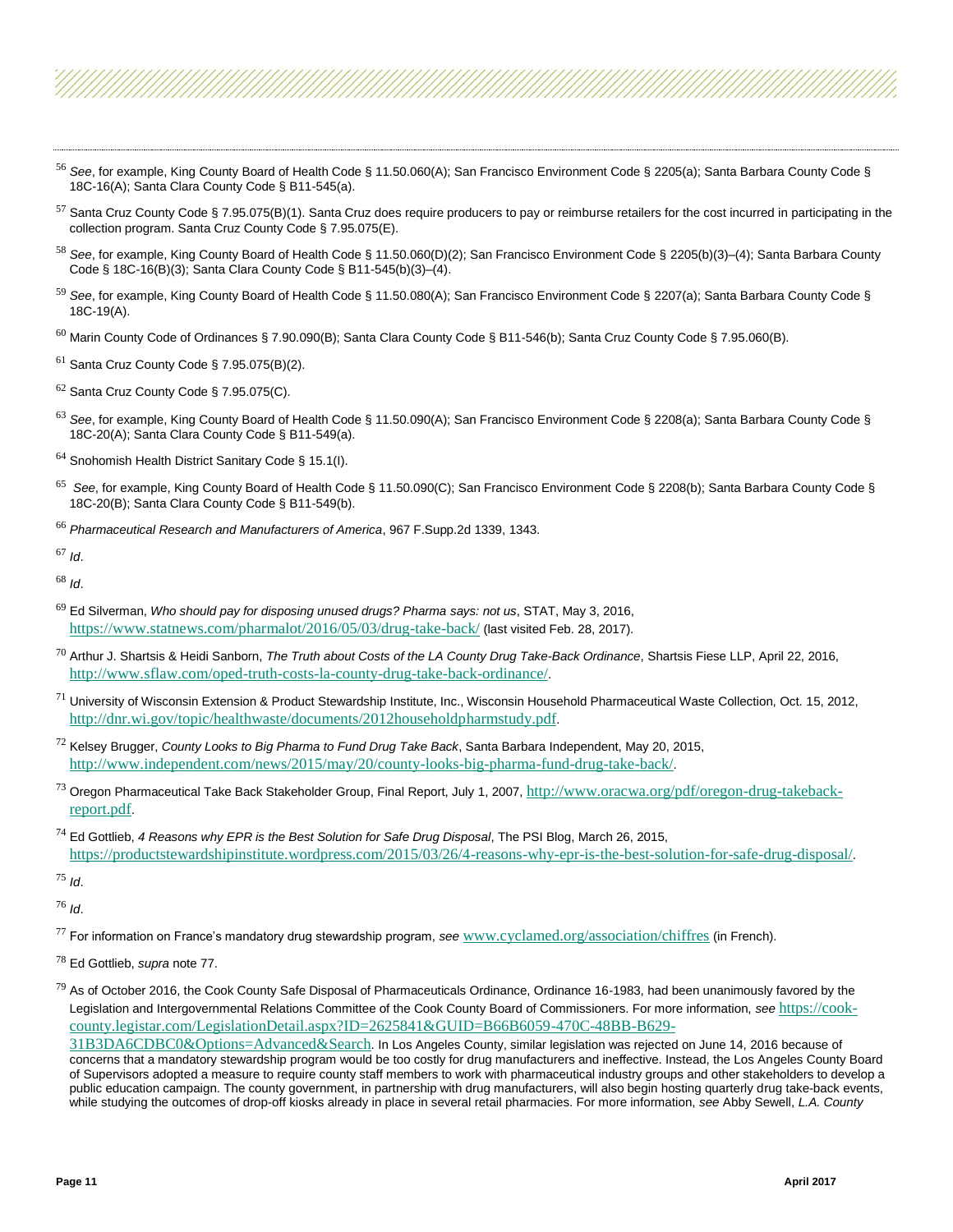- <sup>56</sup> *See*, for example, King County Board of Health Code § 11.50.060(A); San Francisco Environment Code § 2205(a); Santa Barbara County Code § 18C-16(A); Santa Clara County Code § B11-545(a).
- $57$  Santa Cruz County Code § 7.95.075(B)(1). Santa Cruz does require producers to pay or reimburse retailers for the cost incurred in participating in the collection program. Santa Cruz County Code § 7.95.075(E).
- <sup>58</sup> *See*, for example, King County Board of Health Code § 11.50.060(D)(2); San Francisco Environment Code § 2205(b)(3)–(4); Santa Barbara County Code § 18C-16(B)(3); Santa Clara County Code § B11-545(b)(3)–(4).
- <sup>59</sup> *See*, for example, King County Board of Health Code § 11.50.080(A); San Francisco Environment Code § 2207(a); Santa Barbara County Code § 18C-19(A).
- $^{60}$  Marin County Code of Ordinances § 7.90.090(B); Santa Clara County Code § B11-546(b); Santa Cruz County Code § 7.95.060(B).
- $61$  Santa Cruz County Code § 7.95.075(B)(2).
- $62$  Santa Cruz County Code § 7.95.075(C).
- <sup>63</sup> *See*, for example, King County Board of Health Code § 11.50.090(A); San Francisco Environment Code § 2208(a); Santa Barbara County Code § 18C-20(A); Santa Clara County Code § B11-549(a).
- $64$  Snohomish Health District Sanitary Code § 15.1(I).
- 65 *See*, for example, King County Board of Health Code § 11.50.090(C); San Francisco Environment Code § 2208(b); Santa Barbara County Code § 18C-20(B); Santa Clara County Code § B11-549(b).
- <sup>66</sup> *Pharmaceutical Research and Manufacturers of America*, 967 F.Supp.2d 1339, 1343.

<sup>67</sup> *Id*.

<sup>68</sup> *Id*.

- <sup>69</sup> Ed Silverman, *Who should pay for disposing unused drugs? Pharma says: not us*, STAT, May 3, 2016, <https://www.statnews.com/pharmalot/2016/05/03/drug-take-back/> (last visited Feb. 28, 2017).
- <sup>70</sup> Arthur J. Shartsis & Heidi Sanborn, *The Truth about Costs of the LA County Drug Take-Back Ordinance*, Shartsis Fiese LLP, April 22, 2016, <http://www.sflaw.com/oped-truth-costs-la-county-drug-take-back-ordinance/>.
- $^{71}$  University of Wisconsin Extension & Product Stewardship Institute, Inc., Wisconsin Household Pharmaceutical Waste Collection, Oct. 15, 2012, <http://dnr.wi.gov/topic/healthwaste/documents/2012householdpharmstudy.pdf>.
- <sup>72</sup> Kelsey Brugger, *County Looks to Big Pharma to Fund Drug Take Back*, Santa Barbara Independent, May 20, 2015, <http://www.independent.com/news/2015/may/20/county-looks-big-pharma-fund-drug-take-back/>.
- $^{73}$  Oregon Pharmaceutical Take Back Stakeholder Group, Final Report, July 1, 2007, [http://www.oracwa.org/pdf/oregon-drug-takeback](http://www.oracwa.org/pdf/oregon-drug-takeback-report.pdf)[report.pdf](http://www.oracwa.org/pdf/oregon-drug-takeback-report.pdf).
- <sup>74</sup> Ed Gottlieb, *4 Reasons why EPR is the Best Solution for Safe Drug Disposal*, The PSI Blog, March 26, 2015, <https://productstewardshipinstitute.wordpress.com/2015/03/26/4-reasons-why-epr-is-the-best-solution-for-safe-drug-disposal/>.

<sup>75</sup> *Id*.

<sup>76</sup> *Id*.

<sup>77</sup> For information on France's mandatory drug stewardship program, *see* [www.cyclamed.org/association/chiffres](http://www.cyclamed.org/association/chiffres) (in French).

<sup>78</sup> Ed Gottlieb, *supra* note 77.

 $^{79}$  As of October 2016, the Cook County Safe Disposal of Pharmaceuticals Ordinance, Ordinance 16-1983, had been unanimously favored by the Legislation and Intergovernmental Relations Committee of the Cook County Board of Commissioners. For more information, *see* [https://cook](https://cook-county.legistar.com/LegislationDetail.aspx?ID=2625841&GUID=B66B6059-470C-48BB-B629-31B3DA6CDBC0&Options=Advanced&Search)[county.legistar.com/LegislationDetail.aspx?ID=2625841&GUID=B66B6059-470C-48BB-B629-](https://cook-county.legistar.com/LegislationDetail.aspx?ID=2625841&GUID=B66B6059-470C-48BB-B629-31B3DA6CDBC0&Options=Advanced&Search)

[31B3DA6CDBC0&Options=Advanced&Search](https://cook-county.legistar.com/LegislationDetail.aspx?ID=2625841&GUID=B66B6059-470C-48BB-B629-31B3DA6CDBC0&Options=Advanced&Search). In Los Angeles County, similar legislation was rejected on June 14, 2016 because of concerns that a mandatory stewardship program would be too costly for drug manufacturers and ineffective. Instead, the Los Angeles County Board of Supervisors adopted a measure to require county staff members to work with pharmaceutical industry groups and other stakeholders to develop a public education campaign. The county government, in partnership with drug manufacturers, will also begin hosting quarterly drug take-back events, while studying the outcomes of drop-off kiosks already in place in several retail pharmacies. For more information, *see* Abby Sewell, *L.A. County*